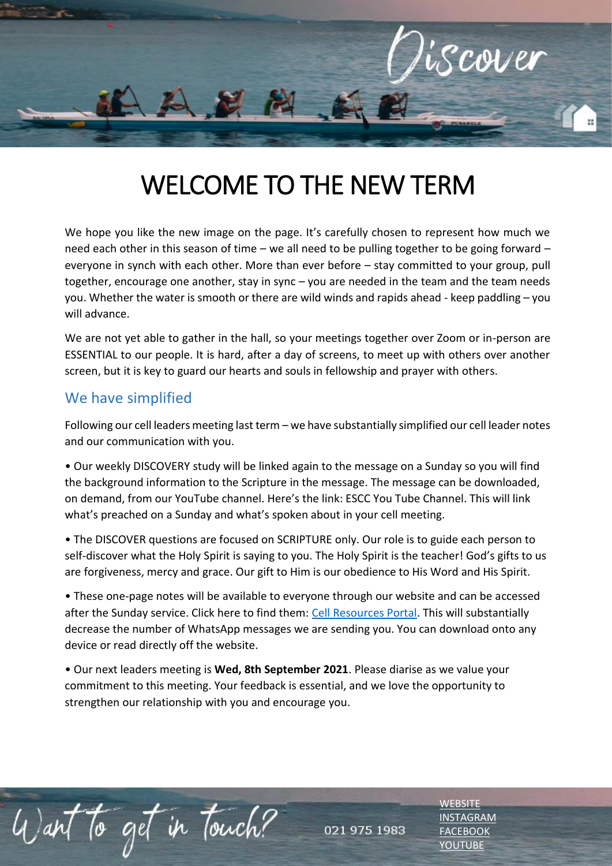

## WELCOME TO THE NEW TERM

We hope you like the new image on the page. It's carefully chosen to represent how much we need each other in this season of time – we all need to be pulling together to be going forward – everyone in synch with each other. More than ever before – stay committed to your group, pull together, encourage one another, stay in sync – you are needed in the team and the team needs you. Whether the water is smooth or there are wild winds and rapids ahead - keep paddling – you will advance.

We are not yet able to gather in the hall, so your meetings together over Zoom or in-person are ESSENTIAL to our people. It is hard, after a day of screens, to meet up with others over another screen, but it is key to guard our hearts and souls in fellowship and prayer with others.

## We have simplified

Want to get in touch?

Following our cell leaders meeting last term – we have substantially simplified our cell leader notes and our communication with you.

• Our weekly DISCOVERY study will be linked again to the message on a Sunday so you will find the background information to the Scripture in the message. The message can be downloaded, on demand, from our YouTube channel. Here's the link: ESCC You Tube Channel. This will link what's preached on a Sunday and what's spoken about in your cell meeting.

• The DISCOVER questions are focused on SCRIPTURE only. Our role is to guide each person to self-discover what the Holy Spirit is saying to you. The Holy Spirit is the teacher! God's gifts to us are forgiveness, mercy and grace. Our gift to Him is our obedience to His Word and His Spirit.

• These one-page notes will be available to everyone through our website and can be accessed after the Sunday service. Click here to find them: [Cell Resources Portal.](https://escc.co.za/a-ministries/cell-groups/cell-group-guidelines-resources/) This will substantially decrease the number of WhatsApp messages we are sending you. You can download onto any device or read directly off the website.

• Our next leaders meeting is **Wed, 8th September 2021**. Please diarise as we value your commitment to this meeting. Your feedback is essential, and we love the opportunity to strengthen our relationship with you and encourage you.

021 975 1983

**[WEBSITE](http://www.escc.co.za/)** [INSTAGRAM](https://www.instagram.com/esccdurbanville/) [FACEBOOK](https://www.facebook.com/escc.za) [YOUTUBE](https://www.youtube.com/c/ESCCDurbanvilleV)